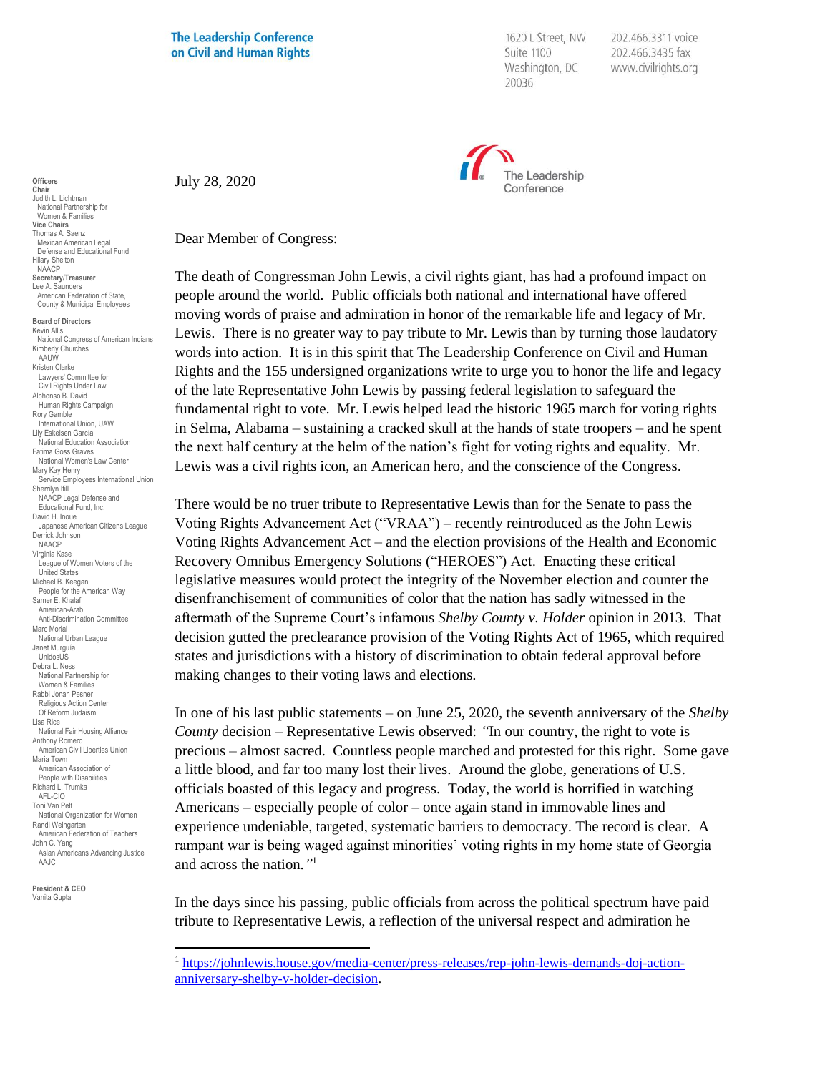**The Leadership Conference** on Civil and Human Rights

1620 L Street, NW Suite 1100 Washington, DC 20036

202.466.3311 voice 202.466.3435 fax www.civilrights.org



July 28, 2020

Dear Member of Congress:

The death of Congressman John Lewis, a civil rights giant, has had a profound impact on people around the world. Public officials both national and international have offered moving words of praise and admiration in honor of the remarkable life and legacy of Mr. Lewis. There is no greater way to pay tribute to Mr. Lewis than by turning those laudatory words into action. It is in this spirit that The Leadership Conference on Civil and Human Rights and the 155 undersigned organizations write to urge you to honor the life and legacy of the late Representative John Lewis by passing federal legislation to safeguard the fundamental right to vote. Mr. Lewis helped lead the historic 1965 march for voting rights in Selma, Alabama – sustaining a cracked skull at the hands of state troopers – and he spent the next half century at the helm of the nation's fight for voting rights and equality. Mr. Lewis was a civil rights icon, an American hero, and the conscience of the Congress.

There would be no truer tribute to Representative Lewis than for the Senate to pass the Voting Rights Advancement Act ("VRAA") – recently reintroduced as the John Lewis Voting Rights Advancement Act – and the election provisions of the Health and Economic Recovery Omnibus Emergency Solutions ("HEROES") Act. Enacting these critical legislative measures would protect the integrity of the November election and counter the disenfranchisement of communities of color that the nation has sadly witnessed in the aftermath of the Supreme Court's infamous *Shelby County v. Holder* opinion in 2013. That decision gutted the preclearance provision of the Voting Rights Act of 1965, which required states and jurisdictions with a history of discrimination to obtain federal approval before making changes to their voting laws and elections.

In one of his last public statements – on June 25, 2020, the seventh anniversary of the *Shelby County* decision – Representative Lewis observed: *"*In our country, the right to vote is precious – almost sacred. Countless people marched and protested for this right. Some gave a little blood, and far too many lost their lives. Around the globe, generations of U.S. officials boasted of this legacy and progress. Today, the world is horrified in watching Americans – especially people of color – once again stand in immovable lines and experience undeniable, targeted, systematic barriers to democracy. The record is clear. A rampant war is being waged against minorities' voting rights in my home state of Georgia and across the nation.*"* 1

In the days since his passing, public officials from across the political spectrum have paid tribute to Representative Lewis, a reflection of the universal respect and admiration he

**Chair** Judith L. Lichtman National Partnership for Women & Families **Vice Chairs** Thomas A. Saenz Mexican American Legal Defense and Educational Fund Hilary Shelton NAACP **Secretary/Treasurer** Lee A. Saunders American Federation of State, County & Municipal Employees

**Officers**

**Board of Directors** Kevin Allis National Congress of American Indians Kimberly Churches **AAUW** Kristen Clarke Lawyers' Committee for Civil Rights Under Law Alphonso B. David Human Rights Campaign Rory Gamble International Union, UAW Lily Eskelsen García National Education Association Fatima Goss Graves National Women's Law Center Mary Kay Henry Service Employees International Union Sherrilyn Ifill NAACP Legal Defense and Educational Fund, Inc. David H. Inoue Japanese American Citizens League Derrick Johnson NAACP Virginia Kase League of Women Voters of the United States Michael B. Keegan People for the American Way Samer E. Khalaf American-Arab Anti-Discrimination Committee Marc Morial National Urban League Janet Murguía UnidosL<sub>IS</sub> Debra L. Ness National Partnership for Women & Families Rabbi Jonah Pesner Religious Action Center Of Reform Judaism Lisa Rice National Fair Housing Alliance Anthony Romero American Civil Liberties Union Maria Town American Association of People with Disabilities Richard L. Trumka AFL-CIO Toni Van Pelt National Organization for Women Randi Weingarten American Federation of Teachers John C. Yang Asian Americans Advancing Justice | AAJC **President & CEO**

Vanita Gupta

<sup>1</sup> [https://johnlewis.house.gov/media-center/press-releases/rep-john-lewis-demands-doj-action](https://johnlewis.house.gov/media-center/press-releases/rep-john-lewis-demands-doj-action-anniversary-shelby-v-holder-decision)[anniversary-shelby-v-holder-decision.](https://johnlewis.house.gov/media-center/press-releases/rep-john-lewis-demands-doj-action-anniversary-shelby-v-holder-decision)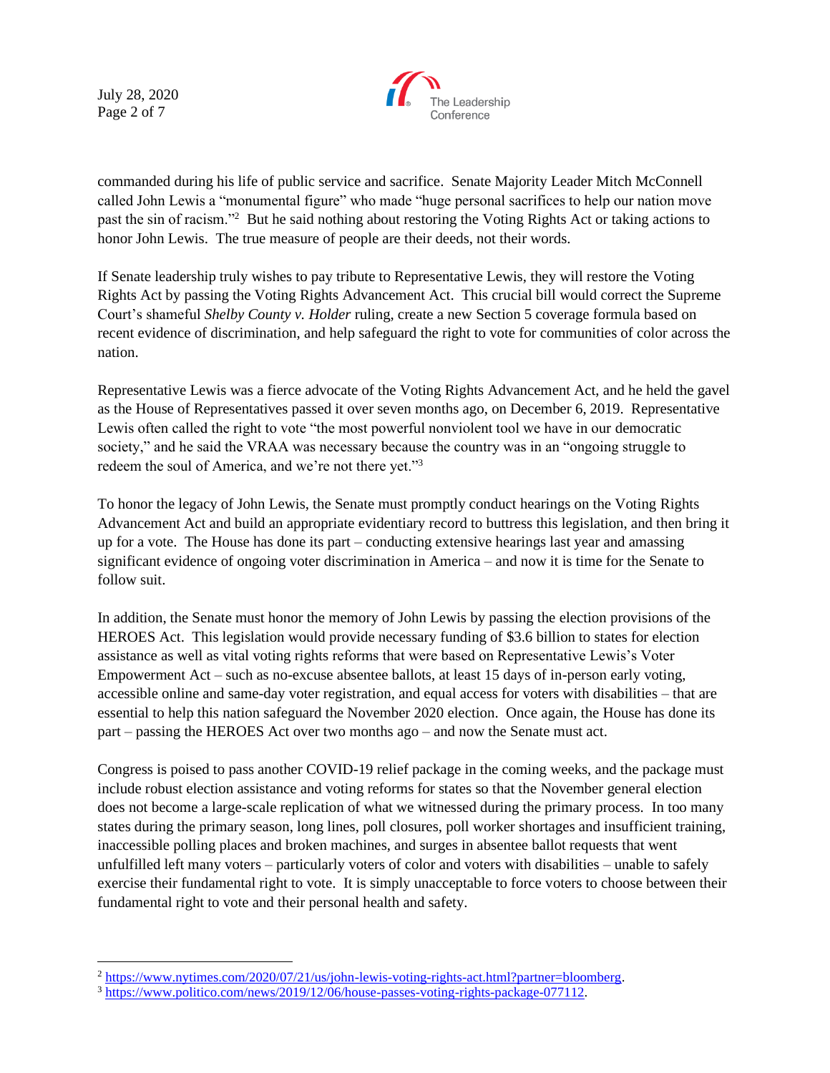July 28, 2020 Page 2 of 7



commanded during his life of public service and sacrifice. Senate Majority Leader Mitch McConnell called John Lewis a "monumental figure" who made "huge personal sacrifices to help our nation move past the sin of racism."<sup>2</sup> But he said nothing about restoring the Voting Rights Act or taking actions to honor John Lewis. The true measure of people are their deeds, not their words.

If Senate leadership truly wishes to pay tribute to Representative Lewis, they will restore the Voting Rights Act by passing the Voting Rights Advancement Act. This crucial bill would correct the Supreme Court's shameful *Shelby County v. Holder* ruling, create a new Section 5 coverage formula based on recent evidence of discrimination, and help safeguard the right to vote for communities of color across the nation.

Representative Lewis was a fierce advocate of the Voting Rights Advancement Act, and he held the gavel as the House of Representatives passed it over seven months ago, on December 6, 2019. Representative Lewis often called the right to vote "the most powerful nonviolent tool we have in our democratic society," and he said the VRAA was necessary because the country was in an "ongoing struggle to redeem the soul of America, and we're not there yet."<sup>3</sup>

To honor the legacy of John Lewis, the Senate must promptly conduct hearings on the Voting Rights Advancement Act and build an appropriate evidentiary record to buttress this legislation, and then bring it up for a vote. The House has done its part – conducting extensive hearings last year and amassing significant evidence of ongoing voter discrimination in America – and now it is time for the Senate to follow suit.

In addition, the Senate must honor the memory of John Lewis by passing the election provisions of the HEROES Act. This legislation would provide necessary funding of \$3.6 billion to states for election assistance as well as vital voting rights reforms that were based on Representative Lewis's Voter Empowerment Act – such as no-excuse absentee ballots, at least 15 days of in-person early voting, accessible online and same-day voter registration, and equal access for voters with disabilities – that are essential to help this nation safeguard the November 2020 election. Once again, the House has done its part – passing the HEROES Act over two months ago – and now the Senate must act.

Congress is poised to pass another COVID-19 relief package in the coming weeks, and the package must include robust election assistance and voting reforms for states so that the November general election does not become a large-scale replication of what we witnessed during the primary process. In too many states during the primary season, long lines, poll closures, poll worker shortages and insufficient training, inaccessible polling places and broken machines, and surges in absentee ballot requests that went unfulfilled left many voters – particularly voters of color and voters with disabilities – unable to safely exercise their fundamental right to vote. It is simply unacceptable to force voters to choose between their fundamental right to vote and their personal health and safety.

<sup>&</sup>lt;sup>2</sup> https://www.nytimes.com/2020/07/<u>21/us/john-lewis-voting-rights-act.html?partner=bloomberg</u>.

<sup>3</sup> [https://www.politico.com/news/2019/12/06/house-passes-voting-rights-package-077112.](https://www.politico.com/news/2019/12/06/house-passes-voting-rights-package-077112)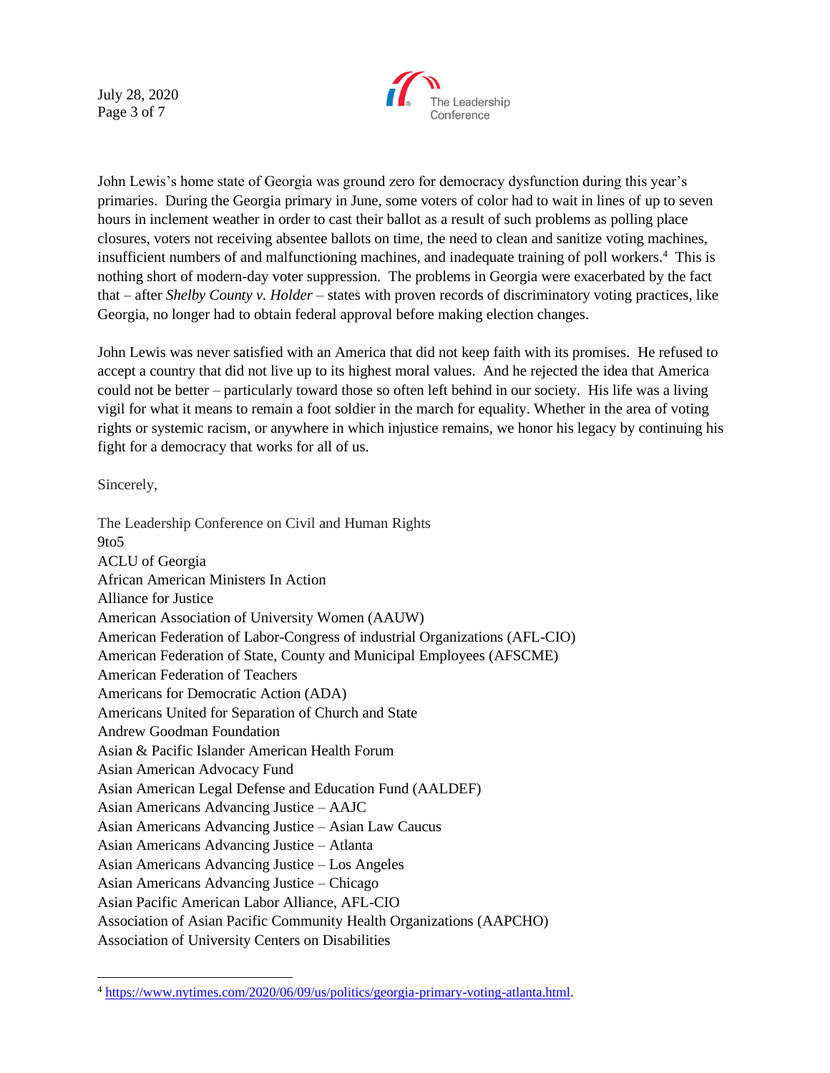July 28, 2020 Page 3 of 7



John Lewis's home state of Georgia was ground zero for democracy dysfunction during this year's primaries. During the Georgia primary in June, some voters of color had to wait in lines of up to seven hours in inclement weather in order to cast their ballot as a result of such problems as polling place closures, voters not receiving absentee ballots on time, the need to clean and sanitize voting machines, insufficient numbers of and malfunctioning machines, and inadequate training of poll workers.<sup>4</sup> This is nothing short of modern-day voter suppression. The problems in Georgia were exacerbated by the fact that – after *Shelby County v. Holder* – states with proven records of discriminatory voting practices, like Georgia, no longer had to obtain federal approval before making election changes.

John Lewis was never satisfied with an America that did not keep faith with its promises. He refused to accept a country that did not live up to its highest moral values. And he rejected the idea that America could not be better – particularly toward those so often left behind in our society. His life was a living vigil for what it means to remain a foot soldier in the march for equality. Whether in the area of voting rights or systemic racism, or anywhere in which injustice remains, we honor his legacy by continuing his fight for a democracy that works for all of us.

Sincerely,

The Leadership Conference on Civil and Human Rights 9to5 ACLU of Georgia African American Ministers In Action Alliance for Justice American Association of University Women (AAUW) American Federation of Labor-Congress of industrial Organizations (AFL-CIO) American Federation of State, County and Municipal Employees (AFSCME) American Federation of Teachers Americans for Democratic Action (ADA) Americans United for Separation of Church and State Andrew Goodman Foundation Asian & Pacific Islander American Health Forum Asian American Advocacy Fund Asian American Legal Defense and Education Fund (AALDEF) Asian Americans Advancing Justice – AAJC Asian Americans Advancing Justice – Asian Law Caucus Asian Americans Advancing Justice – Atlanta Asian Americans Advancing Justice – Los Angeles Asian Americans Advancing Justice – Chicago Asian Pacific American Labor Alliance, AFL-CIO Association of Asian Pacific Community Health Organizations (AAPCHO) Association of University Centers on Disabilities

<sup>4</sup> [https://www.nytimes.com/2020/06/09/us/politics/georgia-primary-voting-atlanta.html.](https://www.nytimes.com/2020/06/09/us/politics/georgia-primary-voting-atlanta.html)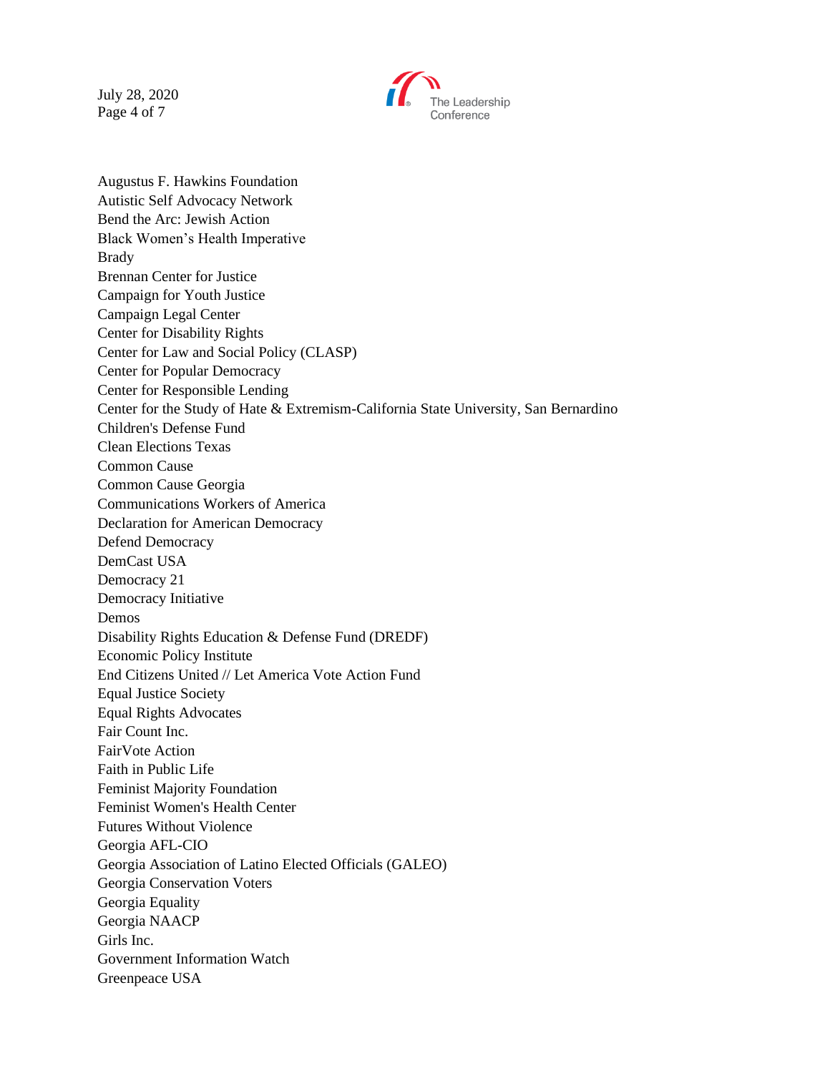July 28, 2020 Page 4 of 7



Augustus F. Hawkins Foundation Autistic Self Advocacy Network Bend the Arc: Jewish Action Black Women's Health Imperative Brady Brennan Center for Justice Campaign for Youth Justice Campaign Legal Center Center for Disability Rights Center for Law and Social Policy (CLASP) Center for Popular Democracy Center for Responsible Lending Center for the Study of Hate & Extremism-California State University, San Bernardino Children's Defense Fund Clean Elections Texas Common Cause Common Cause Georgia Communications Workers of America Declaration for American Democracy Defend Democracy DemCast USA Democracy 21 Democracy Initiative Demos Disability Rights Education & Defense Fund (DREDF) Economic Policy Institute End Citizens United // Let America Vote Action Fund Equal Justice Society Equal Rights Advocates Fair Count Inc. FairVote Action Faith in Public Life Feminist Majority Foundation Feminist Women's Health Center Futures Without Violence Georgia AFL-CIO Georgia Association of Latino Elected Officials (GALEO) Georgia Conservation Voters Georgia Equality Georgia NAACP Girls Inc. Government Information Watch Greenpeace USA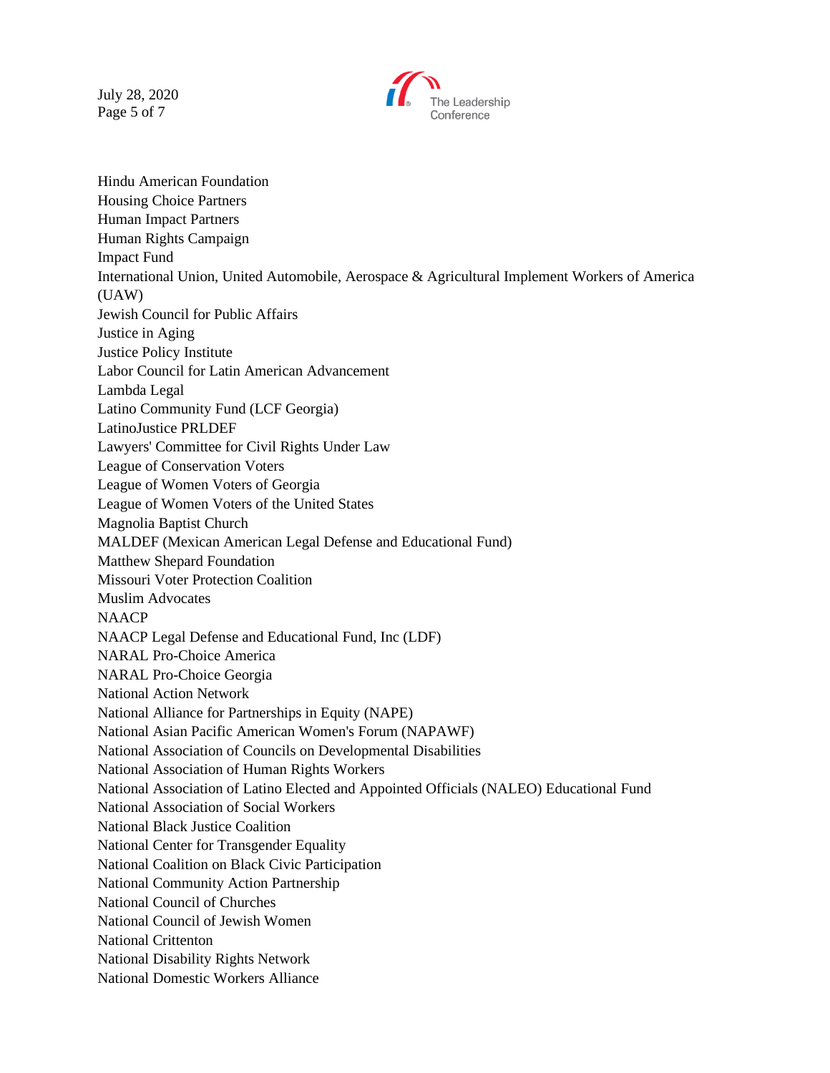July 28, 2020 Page 5 of 7



Hindu American Foundation Housing Choice Partners Human Impact Partners Human Rights Campaign Impact Fund International Union, United Automobile, Aerospace & Agricultural Implement Workers of America (UAW) Jewish Council for Public Affairs Justice in Aging Justice Policy Institute Labor Council for Latin American Advancement Lambda Legal Latino Community Fund (LCF Georgia) LatinoJustice PRLDEF Lawyers' Committee for Civil Rights Under Law League of Conservation Voters League of Women Voters of Georgia League of Women Voters of the United States Magnolia Baptist Church MALDEF (Mexican American Legal Defense and Educational Fund) Matthew Shepard Foundation Missouri Voter Protection Coalition Muslim Advocates NAACP NAACP Legal Defense and Educational Fund, Inc (LDF) NARAL Pro-Choice America NARAL Pro-Choice Georgia National Action Network National Alliance for Partnerships in Equity (NAPE) National Asian Pacific American Women's Forum (NAPAWF) National Association of Councils on Developmental Disabilities National Association of Human Rights Workers National Association of Latino Elected and Appointed Officials (NALEO) Educational Fund National Association of Social Workers National Black Justice Coalition National Center for Transgender Equality National Coalition on Black Civic Participation National Community Action Partnership National Council of Churches National Council of Jewish Women National Crittenton National Disability Rights Network National Domestic Workers Alliance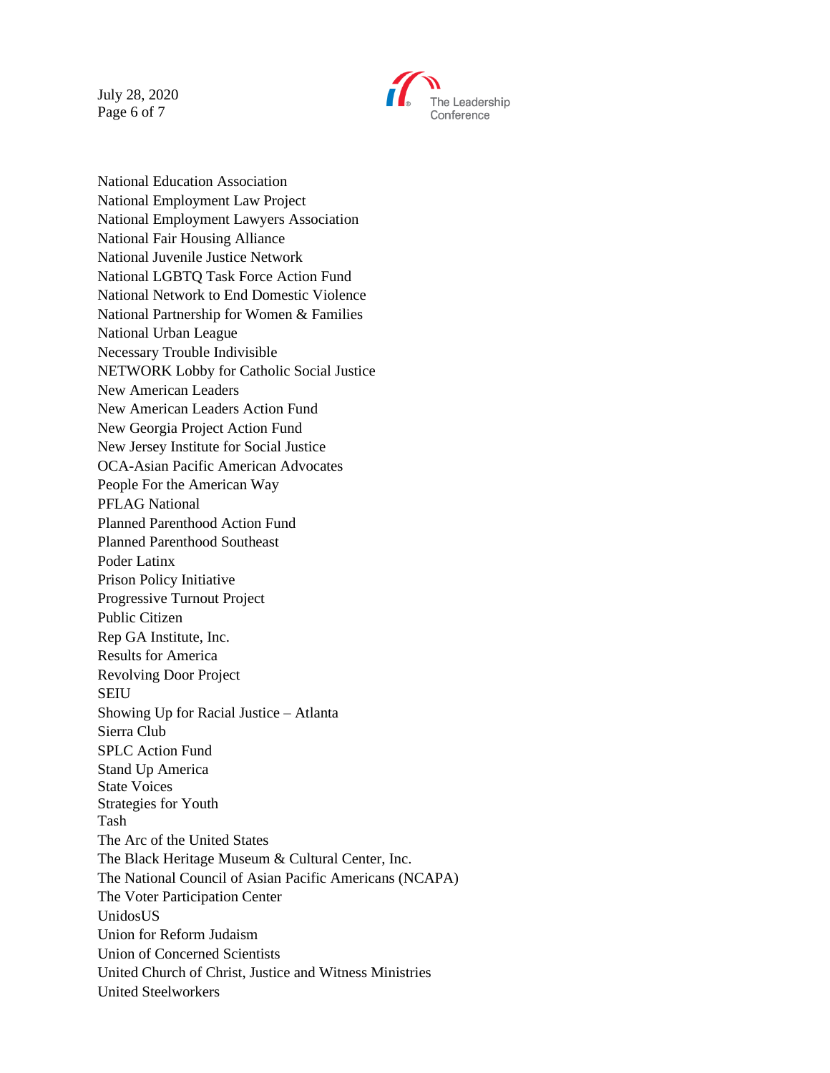July 28, 2020 Page 6 of 7



National Education Association National Employment Law Project National Employment Lawyers Association National Fair Housing Alliance National Juvenile Justice Network National LGBTQ Task Force Action Fund National Network to End Domestic Violence National Partnership for Women & Families National Urban League Necessary Trouble Indivisible NETWORK Lobby for Catholic Social Justice New American Leaders New American Leaders Action Fund New Georgia Project Action Fund New Jersey Institute for Social Justice OCA-Asian Pacific American Advocates People For the American Way PFLAG National Planned Parenthood Action Fund Planned Parenthood Southeast Poder Latinx Prison Policy Initiative Progressive Turnout Project Public Citizen Rep GA Institute, Inc. Results for America Revolving Door Project SEIU Showing Up for Racial Justice – Atlanta Sierra Club SPLC Action Fund Stand Up America State Voices Strategies for Youth Tash The Arc of the United States The Black Heritage Museum & Cultural Center, Inc. The National Council of Asian Pacific Americans (NCAPA) The Voter Participation Center UnidosUS Union for Reform Judaism Union of Concerned Scientists United Church of Christ, Justice and Witness Ministries United Steelworkers